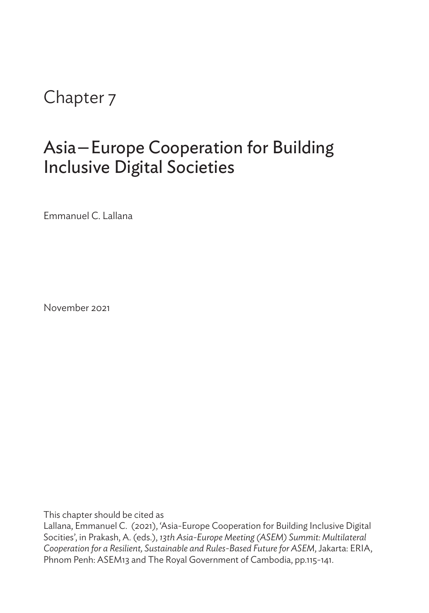Chapter 7

## Asia—Europe Cooperation for Building Inclusive Digital Societies

Emmanuel C. Lallana

November 2021

This chapter should be cited as

Lallana, Emmanuel C. (2021), 'Asia-Europe Cooperation for Building Inclusive Digital Socities', in Prakash, A. (eds.), *13th Asia-Europe Meeting (ASEM) Summit: Multilateral Cooperation for a Resilient, Sustainable and Rules-Based Future for ASEM*, Jakarta: ERIA, Phnom Penh: ASEM13 and The Royal Government of Cambodia, pp.115-141.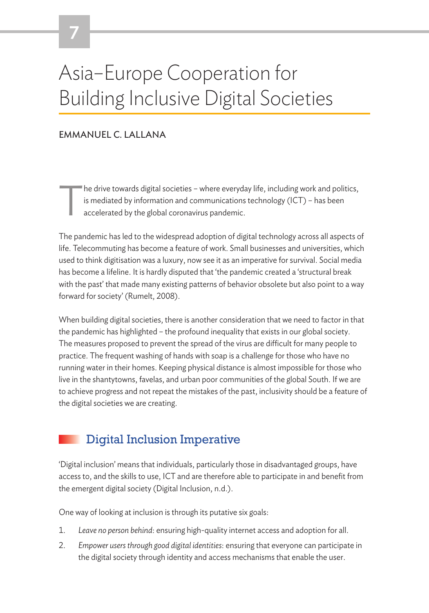# Asia–Europe Cooperation for Building Inclusive Digital Societies

#### EMMANUEL C. LALLANA

The drive towards digital societies – where everyday life, including work and politics, is mediated by information and communications technology (ICT) – has been accelerated by the global coronavirus pandemic. is mediated by information and communications technology (ICT) – has been accelerated by the global coronavirus pandemic.

The pandemic has led to the widespread adoption of digital technology across all aspects of life. Telecommuting has become a feature of work. Small businesses and universities, which used to think digitisation was a luxury, now see it as an imperative for survival. Social media has become a lifeline. It is hardly disputed that 'the pandemic created a 'structural break with the past' that made many existing patterns of behavior obsolete but also point to a way forward for society' (Rumelt, 2008).

When building digital societies, there is another consideration that we need to factor in that the pandemic has highlighted – the profound inequality that exists in our global society. The measures proposed to prevent the spread of the virus are difficult for many people to practice. The frequent washing of hands with soap is a challenge for those who have no running water in their homes. Keeping physical distance is almost impossible for those who live in the shantytowns, favelas, and urban poor communities of the global South. If we are to achieve progress and not repeat the mistakes of the past, inclusivity should be a feature of the digital societies we are creating.

### Digital Inclusion Imperative

'Digital inclusion' means that individuals, particularly those in disadvantaged groups, have access to, and the skills to use, ICT and are therefore able to participate in and benefit from the emergent digital society (Digital Inclusion, n.d.).

One way of looking at inclusion is through its putative six goals:

- 1. *Leave no person behind*: ensuring high-quality internet access and adoption for all.
- 2. *Empower users through good digital identities*: ensuring that everyone can participate in the digital society through identity and access mechanisms that enable the user.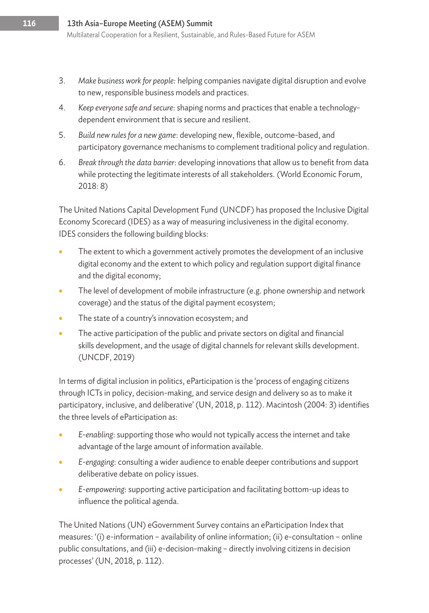- 3. *Make business work for people:* helping companies navigate digital disruption and evolve to new, responsible business models and practices.
- 4. *Keep everyone safe and secure*: shaping norms and practices that enable a technologydependent environment that is secure and resilient.
- 5. *Build new rules for a new game*: developing new, flexible, outcome-based, and participatory governance mechanisms to complement traditional policy and regulation.
- 6. *Break through the data barrier*: developing innovations that allow us to benefit from data while protecting the legitimate interests of all stakeholders. (World Economic Forum, 2018: 8)

The United Nations Capital Development Fund (UNCDF) has proposed the Inclusive Digital Economy Scorecard (IDES) as a way of measuring inclusiveness in the digital economy. IDES considers the following building blocks:

- The extent to which a government actively promotes the development of an inclusive digital economy and the extent to which policy and regulation support digital finance and the digital economy;
- The level of development of mobile infrastructure (e.g. phone ownership and network coverage) and the status of the digital payment ecosystem;
- The state of a country's innovation ecosystem; and
- The active participation of the public and private sectors on digital and financial skills development, and the usage of digital channels for relevant skills development. (UNCDF, 2019)

In terms of digital inclusion in politics, eParticipation is the 'process of engaging citizens through ICTs in policy, decision-making, and service design and delivery so as to make it participatory, inclusive, and deliberative' (UN, 2018, p. 112). Macintosh (2004: 3) identifies the three levels of eParticipation as:

- *E-enabling*: supporting those who would not typically access the internet and take advantage of the large amount of information available.
- *E-engaging*: consulting a wider audience to enable deeper contributions and support deliberative debate on policy issues.
- *E-empowering*: supporting active participation and facilitating bottom-up ideas to influence the political agenda.

The United Nations (UN) eGovernment Survey contains an eParticipation Index that measures: '(i) e-information – availability of online information; (ii) e-consultation – online public consultations, and (iii) e-decision-making – directly involving citizens in decision processes' (UN, 2018, p. 112).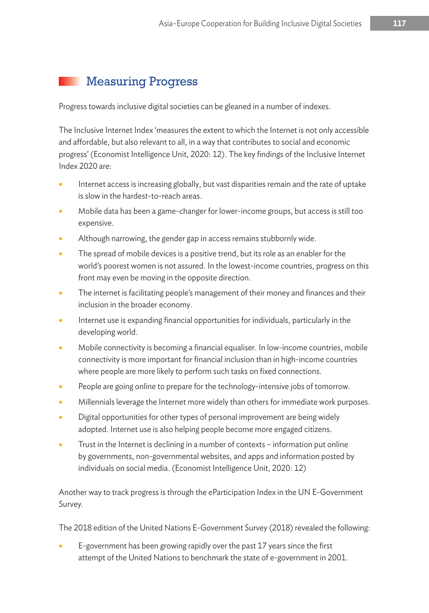## Measuring Progress

Progress towards inclusive digital societies can be gleaned in a number of indexes.

The Inclusive Internet Index 'measures the extent to which the Internet is not only accessible and affordable, but also relevant to all, in a way that contributes to social and economic progress' (Economist Intelligence Unit, 2020: 12). The key findings of the Inclusive Internet Index 2020 are:

- Internet access is increasing globally, but vast disparities remain and the rate of uptake is slow in the hardest-to-reach areas.
- Mobile data has been a game-changer for lower-income groups, but access is still too expensive.
- Although narrowing, the gender gap in access remains stubbornly wide.
- The spread of mobile devices is a positive trend, but its role as an enabler for the world's poorest women is not assured. In the lowest-income countries, progress on this front may even be moving in the opposite direction.
- The internet is facilitating people's management of their money and finances and their inclusion in the broader economy.
- Internet use is expanding financial opportunities for individuals, particularly in the developing world.
- Mobile connectivity is becoming a financial equaliser. In low-income countries, mobile connectivity is more important for financial inclusion than in high-income countries where people are more likely to perform such tasks on fixed connections.
- People are going online to prepare for the technology-intensive jobs of tomorrow.
- Millennials leverage the Internet more widely than others for immediate work purposes.
- Digital opportunities for other types of personal improvement are being widely adopted. Internet use is also helping people become more engaged citizens.
- Trust in the Internet is declining in a number of contexts information put online by governments, non-governmental websites, and apps and information posted by individuals on social media. (Economist Intelligence Unit, 2020: 12)

Another way to track progress is through the eParticipation Index in the UN E-Government Survey.

The 2018 edition of the United Nations E-Government Survey (2018) revealed the following:

• E-government has been growing rapidly over the past 17 years since the first attempt of the United Nations to benchmark the state of e-government in 2001.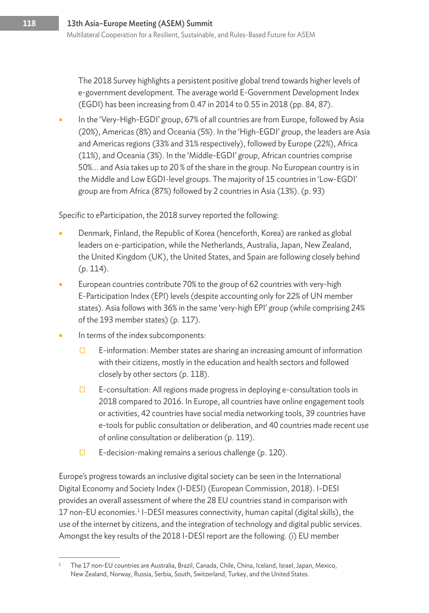The 2018 Survey highlights a persistent positive global trend towards higher levels of e-government development. The average world E-Government Development Index (EGDI) has been increasing from 0.47 in 2014 to 0.55 in 2018 (pp. 84, 87).

• In the 'Very-High-EGDI' group, 67% of all countries are from Europe, followed by Asia (20%), Americas (8%) and Oceania (5%). In the 'High-EGDI' group, the leaders are Asia and Americas regions (33% and 31% respectively), followed by Europe (22%), Africa (11%), and Oceania (3%). In the 'Middle-EGDI' group, African countries comprise 50%... and Asia takes up to 20 % of the share in the group. No European country is in the Middle and Low EGDI-level groups. The majority of 15 countries in 'Low-EGDI' group are from Africa (87%) followed by 2 countries in Asia (13%). (p. 93)

Specific to eParticipation, the 2018 survey reported the following:

- Denmark, Finland, the Republic of Korea (henceforth, Korea) are ranked as global leaders on e-participation, while the Netherlands, Australia, Japan, New Zealand, the United Kingdom (UK), the United States, and Spain are following closely behind (p. 114).
- European countries contribute 70% to the group of 62 countries with very-high E-Participation Index (EPI) levels (despite accounting only for 22% of UN member states). Asia follows with 36% in the same 'very-high EPI' group (while comprising 24% of the 193 member states) (p. 117).
- In terms of the index subcomponents:
	- $\Box$  E-information: Member states are sharing an increasing amount of information with their citizens, mostly in the education and health sectors and followed closely by other sectors (p. 118).
	- $\Box$  E-consultation: All regions made progress in deploying e-consultation tools in 2018 compared to 2016. In Europe, all countries have online engagement tools or activities, 42 countries have social media networking tools, 39 countries have e-tools for public consultation or deliberation, and 40 countries made recent use of online consultation or deliberation (p. 119).
	- $\Box$  E-decision-making remains a serious challenge (p. 120).

Europe's progress towards an inclusive digital society can be seen in the International Digital Economy and Society Index (I-DESI) (European Commission, 2018). I-DESI provides an overall assessment of where the 28 EU countries stand in comparison with 17 non-EU economies.<sup>1</sup> I-DESI measures connectivity, human capital (digital skills), the use of the internet by citizens, and the integration of technology and digital public services. Amongst the key results of the 2018 I-DESI report are the following. (i) EU member

<sup>&</sup>lt;sup>1</sup> The 17 non-EU countries are Australia, Brazil, Canada, Chile, China, Iceland, Israel, Japan, Mexico, New Zealand, Norway, Russia, Serbia, South, Switzerland, Turkey, and the United States.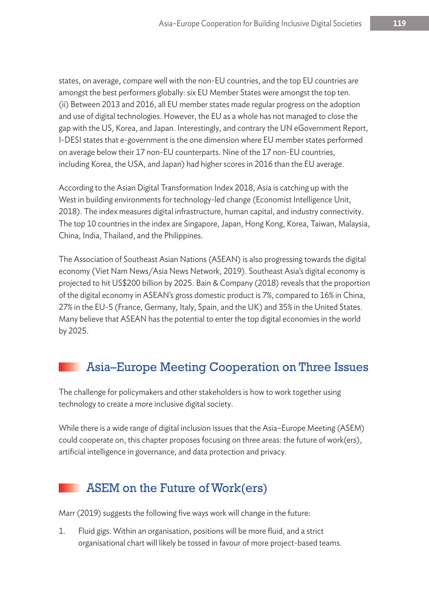states, on average, compare well with the non-EU countries, and the top EU countries are amongst the best performers globally: six EU Member States were amongst the top ten. (ii) Between 2013 and 2016, all EU member states made regular progress on the adoption and use of digital technologies. However, the EU as a whole has not managed to close the gap with the US, Korea, and Japan. Interestingly, and contrary the UN eGovernment Report, I-DESI states that e-government is the one dimension where EU member states performed on average below their 17 non-EU counterparts. Nine of the 17 non-EU countries, including Korea, the USA, and Japan) had higher scores in 2016 than the EU average.

According to the Asian Digital Transformation Index 2018, Asia is catching up with the West in building environments for technology-led change (Economist Intelligence Unit, 2018). The index measures digital infrastructure, human capital, and industry connectivity. The top 10 countries in the index are Singapore, Japan, Hong Kong, Korea, Taiwan, Malaysia, China, India, Thailand, and the Philippines.

The Association of Southeast Asian Nations (ASEAN) is also progressing towards the digital economy (Viet Nam News/Asia News Network, 2019). Southeast Asia's digital economy is projected to hit US\$200 billion by 2025. Bain & Company (2018) reveals that the proportion of the digital economy in ASEAN's gross domestic product is 7%, compared to 16% in China, 27% in the EU-5 (France, Germany, Italy, Spain, and the UK) and 35% in the United States. Many believe that ASEAN has the potential to enter the top digital economies in the world by 2025.

## Asia–Europe Meeting Cooperation on Three Issues

The challenge for policymakers and other stakeholders is how to work together using technology to create a more inclusive digital society.

While there is a wide range of digital inclusion issues that the Asia–Europe Meeting (ASEM) could cooperate on, this chapter proposes focusing on three areas: the future of work(ers), artificial intelligence in governance, and data protection and privacy.

## ASEM on the Future of Work(ers)

Marr (2019) suggests the following five ways work will change in the future:

1. Fluid gigs. Within an organisation, positions will be more fluid, and a strict organisational chart will likely be tossed in favour of more project-based teams.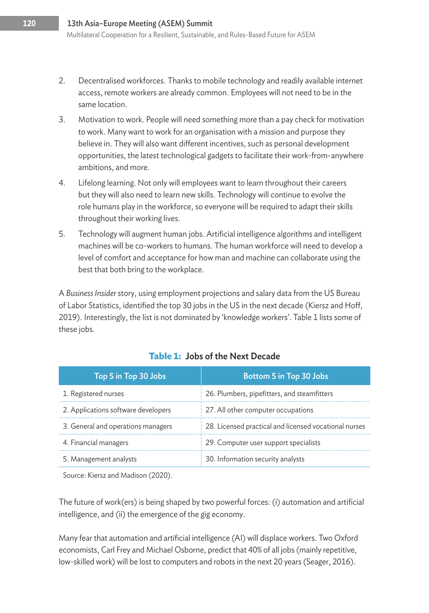- 2. Decentralised workforces. Thanks to mobile technology and readily available internet access, remote workers are already common. Employees will not need to be in the same location.
- 3. Motivation to work. People will need something more than a pay check for motivation to work. Many want to work for an organisation with a mission and purpose they believe in. They will also want different incentives, such as personal development opportunities, the latest technological gadgets to facilitate their work-from-anywhere ambitions, and more.
- 4. Lifelong learning. Not only will employees want to learn throughout their careers but they will also need to learn new skills. Technology will continue to evolve the role humans play in the workforce, so everyone will be required to adapt their skills throughout their working lives.
- 5. Technology will augment human jobs. Artificial intelligence algorithms and intelligent machines will be co-workers to humans. The human workforce will need to develop a level of comfort and acceptance for how man and machine can collaborate using the best that both bring to the workplace.

A *Business Insider* story, using employment projections and salary data from the US Bureau of Labor Statistics, identified the top 30 jobs in the US in the next decade (Kiersz and Hoff, 2019). Interestingly, the list is not dominated by 'knowledge workers'. Table 1 lists some of these jobs.

| Top 5 in Top 30 Jobs                | <b>Bottom 5 in Top 30 Jobs</b>                        |
|-------------------------------------|-------------------------------------------------------|
| 1. Registered nurses                | 26. Plumbers, pipefitters, and steamfitters           |
| 2. Applications software developers | 27. All other computer occupations                    |
| 3. General and operations managers  | 28. Licensed practical and licensed vocational nurses |
| 4. Financial managers               | 29. Computer user support specialists                 |
| 5. Management analysts              | 30. Information security analysts                     |

#### **Table 1:** Jobs of the Next Decade

Source: Kiersz and Madison (2020).

The future of work(ers) is being shaped by two powerful forces: (i) automation and artificial intelligence, and (ii) the emergence of the gig economy.

Many fear that automation and artificial intelligence (AI) will displace workers. Two Oxford economists, Carl Frey and Michael Osborne, predict that 40% of all jobs (mainly repetitive, low-skilled work) will be lost to computers and robots in the next 20 years (Seager, 2016).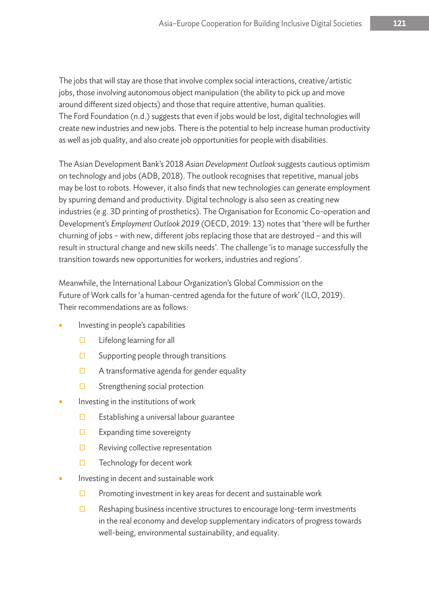The jobs that will stay are those that involve complex social interactions, creative/artistic jobs, those involving autonomous object manipulation (the ability to pick up and move around different sized objects) and those that require attentive, human qualities. The Ford Foundation (n.d.) suggests that even if jobs would be lost, digital technologies will create new industries and new jobs. There is the potential to help increase human productivity as well as job quality, and also create job opportunities for people with disabilities.

The Asian Development Bank's 2018 *Asian Development Outlook* suggests cautious optimism on technology and jobs (ADB, 2018). The outlook recognises that repetitive, manual jobs may be lost to robots. However, it also finds that new technologies can generate employment by spurring demand and productivity. Digital technology is also seen as creating new industries (e.g. 3D printing of prosthetics). The Organisation for Economic Co-operation and Development's *Employment Outlook 2019* (OECD, 2019: 13) notes that 'there will be further churning of jobs – with new, different jobs replacing those that are destroyed – and this will result in structural change and new skills needs'. The challenge 'is to manage successfully the transition towards new opportunities for workers, industries and regions'.

Meanwhile, the International Labour Organization's Global Commission on the Future of Work calls for 'a human-centred agenda for the future of work' (ILO, 2019). Their recommendations are as follows:

- Investing in people's capabilities
	- $\square$  Lifelong learning for all
	- $\square$  Supporting people through transitions
	- $\Box$  A transformative agenda for gender equality
	- $\square$  Strengthening social protection
- Investing in the institutions of work
	- $\square$  Establishing a universal labour guarantee
	- $\square$  Expanding time sovereignty
	- $\Box$  Reviving collective representation
	- Ƀ Technology for decent work
- Investing in decent and sustainable work
	- $\square$  Promoting investment in key areas for decent and sustainable work
	- $\square$  Reshaping business incentive structures to encourage long-term investments in the real economy and develop supplementary indicators of progress towards well-being, environmental sustainability, and equality.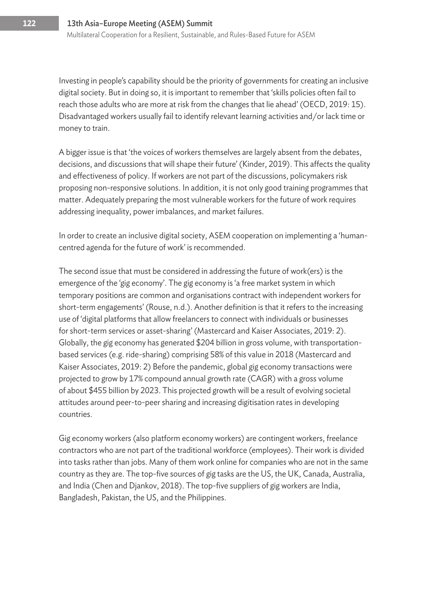Investing in people's capability should be the priority of governments for creating an inclusive digital society. But in doing so, it is important to remember that 'skills policies often fail to reach those adults who are more at risk from the changes that lie ahead' (OECD, 2019: 15). Disadvantaged workers usually fail to identify relevant learning activities and/or lack time or money to train.

A bigger issue is that 'the voices of workers themselves are largely absent from the debates, decisions, and discussions that will shape their future' (Kinder, 2019). This affects the quality and effectiveness of policy. If workers are not part of the discussions, policymakers risk proposing non-responsive solutions. In addition, it is not only good training programmes that matter. Adequately preparing the most vulnerable workers for the future of work requires addressing inequality, power imbalances, and market failures.

In order to create an inclusive digital society, ASEM cooperation on implementing a 'humancentred agenda for the future of work' is recommended.

The second issue that must be considered in addressing the future of work(ers) is the emergence of the 'gig economy'. The gig economy is 'a free market system in which temporary positions are common and organisations contract with independent workers for short-term engagements' (Rouse, n.d.). Another definition is that it refers to the increasing use of 'digital platforms that allow freelancers to connect with individuals or businesses for short-term services or asset-sharing' (Mastercard and Kaiser Associates, 2019: 2). Globally, the gig economy has generated \$204 billion in gross volume, with transportationbased services (e.g. ride-sharing) comprising 58% of this value in 2018 (Mastercard and Kaiser Associates, 2019: 2) Before the pandemic, global gig economy transactions were projected to grow by 17% compound annual growth rate (CAGR) with a gross volume of about \$455 billion by 2023. This projected growth will be a result of evolving societal attitudes around peer-to-peer sharing and increasing digitisation rates in developing countries.

Gig economy workers (also platform economy workers) are contingent workers, freelance contractors who are not part of the traditional workforce (employees). Their work is divided into tasks rather than jobs. Many of them work online for companies who are not in the same country as they are. The top-five sources of gig tasks are the US, the UK, Canada, Australia, and India (Chen and Djankov, 2018). The top-five suppliers of gig workers are India, Bangladesh, Pakistan, the US, and the Philippines.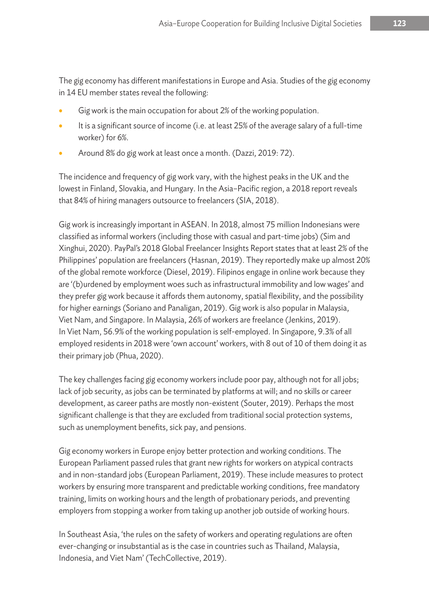The gig economy has different manifestations in Europe and Asia. Studies of the gig economy in 14 EU member states reveal the following:

- Gig work is the main occupation for about 2% of the working population.
- It is a significant source of income (i.e. at least 25% of the average salary of a full-time worker) for 6%.
- Around 8% do gig work at least once a month. (Dazzi, 2019: 72).

The incidence and frequency of gig work vary, with the highest peaks in the UK and the lowest in Finland, Slovakia, and Hungary. In the Asia–Pacific region, a 2018 report reveals that 84% of hiring managers outsource to freelancers (SIA, 2018).

Gig work is increasingly important in ASEAN. In 2018, almost 75 million Indonesians were classified as informal workers (including those with casual and part-time jobs) (Sim and Xinghui, 2020). PayPal's 2018 Global Freelancer Insights Report states that at least 2% of the Philippines' population are freelancers (Hasnan, 2019). They reportedly make up almost 20% of the global remote workforce (Diesel, 2019). Filipinos engage in online work because they are '(b)urdened by employment woes such as infrastructural immobility and low wages' and they prefer gig work because it affords them autonomy, spatial flexibility, and the possibility for higher earnings (Soriano and Panaligan, 2019). Gig work is also popular in Malaysia, Viet Nam, and Singapore. In Malaysia, 26% of workers are freelance (Jenkins, 2019). In Viet Nam, 56.9% of the working population is self-employed. In Singapore, 9.3% of all employed residents in 2018 were 'own account' workers, with 8 out of 10 of them doing it as their primary job (Phua, 2020).

The key challenges facing gig economy workers include poor pay, although not for all jobs; lack of job security, as jobs can be terminated by platforms at will; and no skills or career development, as career paths are mostly non-existent (Souter, 2019). Perhaps the most significant challenge is that they are excluded from traditional social protection systems, such as unemployment benefits, sick pay, and pensions.

Gig economy workers in Europe enjoy better protection and working conditions. The European Parliament passed rules that grant new rights for workers on atypical contracts and in non-standard jobs (European Parliament, 2019). These include measures to protect workers by ensuring more transparent and predictable working conditions, free mandatory training, limits on working hours and the length of probationary periods, and preventing employers from stopping a worker from taking up another job outside of working hours.

In Southeast Asia, 'the rules on the safety of workers and operating regulations are often ever-changing or insubstantial as is the case in countries such as Thailand, Malaysia, Indonesia, and Viet Nam' (TechCollective, 2019).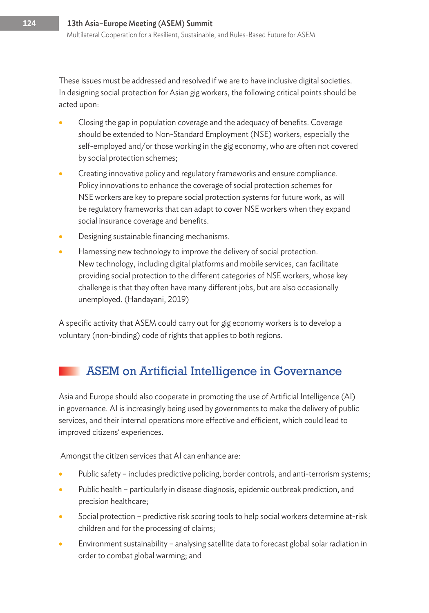These issues must be addressed and resolved if we are to have inclusive digital societies. In designing social protection for Asian gig workers, the following critical points should be acted upon:

- Closing the gap in population coverage and the adequacy of benefits. Coverage should be extended to Non-Standard Employment (NSE) workers, especially the self-employed and/or those working in the gig economy, who are often not covered by social protection schemes;
- Creating innovative policy and regulatory frameworks and ensure compliance. Policy innovations to enhance the coverage of social protection schemes for NSE workers are key to prepare social protection systems for future work, as will be regulatory frameworks that can adapt to cover NSE workers when they expand social insurance coverage and benefits.
- Designing sustainable financing mechanisms.
- Harnessing new technology to improve the delivery of social protection. New technology, including digital platforms and mobile services, can facilitate providing social protection to the different categories of NSE workers, whose key challenge is that they often have many different jobs, but are also occasionally unemployed. (Handayani, 2019)

A specific activity that ASEM could carry out for gig economy workers is to develop a voluntary (non-binding) code of rights that applies to both regions.

## ASEM on Artificial Intelligence in Governance

Asia and Europe should also cooperate in promoting the use of Artificial Intelligence (AI) in governance. AI is increasingly being used by governments to make the delivery of public services, and their internal operations more effective and efficient, which could lead to improved citizens' experiences.

Amongst the citizen services that AI can enhance are:

- Public safety includes predictive policing, border controls, and anti-terrorism systems;
- Public health particularly in disease diagnosis, epidemic outbreak prediction, and precision healthcare;
- Social protection predictive risk scoring tools to help social workers determine at-risk children and for the processing of claims;
- Environment sustainability analysing satellite data to forecast global solar radiation in order to combat global warming; and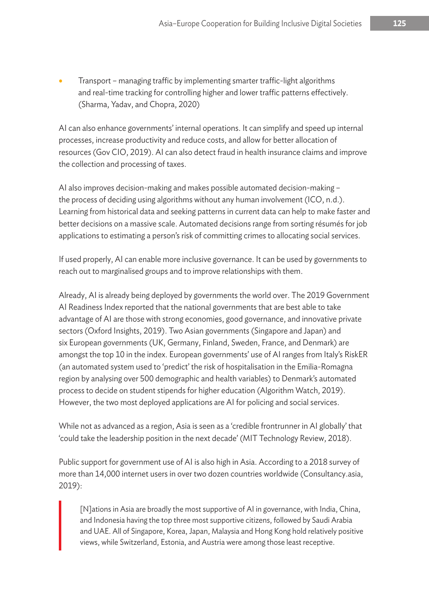• Transport – managing traffic by implementing smarter traffic-light algorithms and real-time tracking for controlling higher and lower traffic patterns effectively. (Sharma, Yadav, and Chopra, 2020)

AI can also enhance governments' internal operations. It can simplify and speed up internal processes, increase productivity and reduce costs, and allow for better allocation of resources (Gov CIO, 2019). AI can also detect fraud in health insurance claims and improve the collection and processing of taxes.

AI also improves decision-making and makes possible automated decision-making – the process of deciding using algorithms without any human involvement (ICO, n.d.). Learning from historical data and seeking patterns in current data can help to make faster and better decisions on a massive scale. Automated decisions range from sorting résumés for job applications to estimating a person's risk of committing crimes to allocating social services.

If used properly, AI can enable more inclusive governance. It can be used by governments to reach out to marginalised groups and to improve relationships with them.

Already, AI is already being deployed by governments the world over. The 2019 Government AI Readiness Index reported that the national governments that are best able to take advantage of AI are those with strong economies, good governance, and innovative private sectors (Oxford Insights, 2019). Two Asian governments (Singapore and Japan) and six European governments (UK, Germany, Finland, Sweden, France, and Denmark) are amongst the top 10 in the index. European governments' use of AI ranges from Italy's RiskER (an automated system used to 'predict' the risk of hospitalisation in the Emilia-Romagna region by analysing over 500 demographic and health variables) to Denmark's automated process to decide on student stipends for higher education (Algorithm Watch, 2019). However, the two most deployed applications are AI for policing and social services.

While not as advanced as a region, Asia is seen as a 'credible frontrunner in AI globally' that 'could take the leadership position in the next decade' (MIT Technology Review, 2018).

Public support for government use of AI is also high in Asia. According to a 2018 survey of more than 14,000 internet users in over two dozen countries worldwide (Consultancy.asia, 2019):

[N]ations in Asia are broadly the most supportive of AI in governance, with India, China, and Indonesia having the top three most supportive citizens, followed by Saudi Arabia and UAE. All of Singapore, Korea, Japan, Malaysia and Hong Kong hold relatively positive views, while Switzerland, Estonia, and Austria were among those least receptive.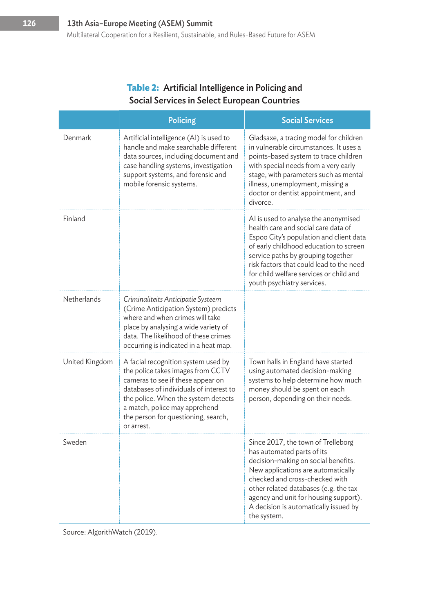#### **Table 2:** Artificial Intelligence in Policing and Social Services in Select European Countries

|                    | <b>Policing</b>                                                                                                                                                                                                                                                                       | <b>Social Services</b>                                                                                                                                                                                                                                                                                                      |
|--------------------|---------------------------------------------------------------------------------------------------------------------------------------------------------------------------------------------------------------------------------------------------------------------------------------|-----------------------------------------------------------------------------------------------------------------------------------------------------------------------------------------------------------------------------------------------------------------------------------------------------------------------------|
| Denmark            | Artificial intelligence (AI) is used to<br>handle and make searchable different<br>data sources, including document and<br>case handling systems, investigation<br>support systems, and forensic and<br>mobile forensic systems.                                                      | Gladsaxe, a tracing model for children<br>in vulnerable circumstances. It uses a<br>points-based system to trace children<br>with special needs from a very early<br>stage, with parameters such as mental<br>illness, unemployment, missing a<br>doctor or dentist appointment, and<br>divorce.                            |
| Finland            |                                                                                                                                                                                                                                                                                       | Al is used to analyse the anonymised<br>health care and social care data of<br>Espoo City's population and client data<br>of early childhood education to screen<br>service paths by grouping together<br>risk factors that could lead to the need<br>for child welfare services or child and<br>youth psychiatry services. |
| <b>Netherlands</b> | Criminaliteits Anticipatie Systeem<br>(Crime Anticipation System) predicts<br>where and when crimes will take<br>place by analysing a wide variety of<br>data. The likelihood of these crimes<br>occurring is indicated in a heat map.                                                |                                                                                                                                                                                                                                                                                                                             |
| United Kingdom     | A facial recognition system used by<br>the police takes images from CCTV<br>cameras to see if these appear on<br>databases of individuals of interest to<br>the police. When the system detects<br>a match, police may apprehend<br>the person for questioning, search,<br>or arrest. | Town halls in England have started<br>using automated decision-making<br>systems to help determine how much<br>money should be spent on each<br>person, depending on their needs.                                                                                                                                           |
| Sweden             |                                                                                                                                                                                                                                                                                       | Since 2017, the town of Trelleborg<br>has automated parts of its<br>decision-making on social benefits.<br>New applications are automatically<br>checked and cross-checked with<br>other related databases (e.g. the tax<br>agency and unit for housing support).<br>A decision is automatically issued by<br>the system.   |

Source: AlgorithWatch (2019).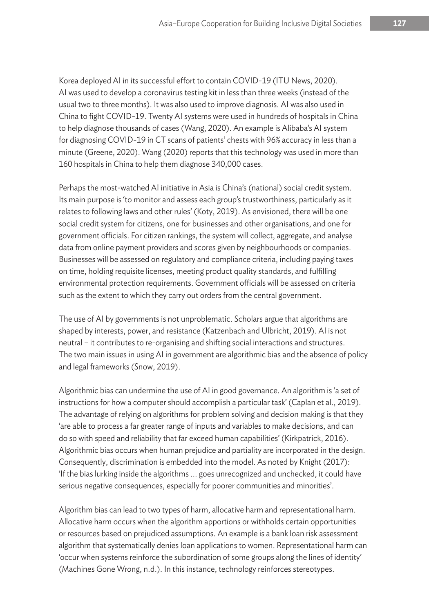Korea deployed AI in its successful effort to contain COVID-19 (ITU News, 2020). AI was used to develop a coronavirus testing kit in less than three weeks (instead of the usual two to three months). It was also used to improve diagnosis. AI was also used in China to fight COVID-19. Twenty AI systems were used in hundreds of hospitals in China to help diagnose thousands of cases (Wang, 2020). An example is Alibaba's AI system for diagnosing COVID-19 in CT scans of patients' chests with 96% accuracy in less than a minute (Greene, 2020). Wang (2020) reports that this technology was used in more than 160 hospitals in China to help them diagnose 340,000 cases.

Perhaps the most-watched AI initiative in Asia is China's (national) social credit system. Its main purpose is 'to monitor and assess each group's trustworthiness, particularly as it relates to following laws and other rules' (Koty, 2019). As envisioned, there will be one social credit system for citizens, one for businesses and other organisations, and one for government officials. For citizen rankings, the system will collect, aggregate, and analyse data from online payment providers and scores given by neighbourhoods or companies. Businesses will be assessed on regulatory and compliance criteria, including paying taxes on time, holding requisite licenses, meeting product quality standards, and fulfilling environmental protection requirements. Government officials will be assessed on criteria such as the extent to which they carry out orders from the central government.

The use of AI by governments is not unproblematic. Scholars argue that algorithms are shaped by interests, power, and resistance (Katzenbach and Ulbricht, 2019). AI is not neutral – it contributes to re-organising and shifting social interactions and structures. The two main issues in using AI in government are algorithmic bias and the absence of policy and legal frameworks (Snow, 2019).

Algorithmic bias can undermine the use of AI in good governance. An algorithm is 'a set of instructions for how a computer should accomplish a particular task' (Caplan et al., 2019). The advantage of relying on algorithms for problem solving and decision making is that they 'are able to process a far greater range of inputs and variables to make decisions, and can do so with speed and reliability that far exceed human capabilities' (Kirkpatrick, 2016). Algorithmic bias occurs when human prejudice and partiality are incorporated in the design. Consequently, discrimination is embedded into the model. As noted by Knight (2017): 'If the bias lurking inside the algorithms ... goes unrecognized and unchecked, it could have serious negative consequences, especially for poorer communities and minorities'.

Algorithm bias can lead to two types of harm, allocative harm and representational harm. Allocative harm occurs when the algorithm apportions or withholds certain opportunities or resources based on prejudiced assumptions. An example is a bank loan risk assessment algorithm that systematically denies loan applications to women. Representational harm can 'occur when systems reinforce the subordination of some groups along the lines of identity' (Machines Gone Wrong, n.d.). In this instance, technology reinforces stereotypes.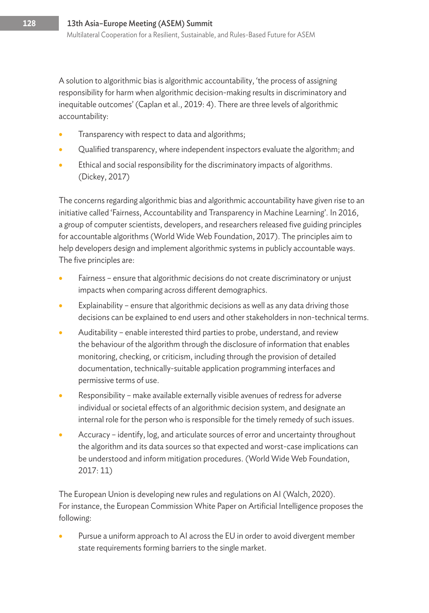A solution to algorithmic bias is algorithmic accountability, 'the process of assigning responsibility for harm when algorithmic decision-making results in discriminatory and inequitable outcomes' (Caplan et al., 2019: 4). There are three levels of algorithmic accountability:

- Transparency with respect to data and algorithms;
- Qualified transparency, where independent inspectors evaluate the algorithm; and
- Ethical and social responsibility for the discriminatory impacts of algorithms. (Dickey, 2017)

The concerns regarding algorithmic bias and algorithmic accountability have given rise to an initiative called 'Fairness, Accountability and Transparency in Machine Learning'. In 2016, a group of computer scientists, developers, and researchers released five guiding principles for accountable algorithms (World Wide Web Foundation, 2017). The principles aim to help developers design and implement algorithmic systems in publicly accountable ways. The five principles are:

- Fairness ensure that algorithmic decisions do not create discriminatory or unjust impacts when comparing across different demographics.
- Explainability ensure that algorithmic decisions as well as any data driving those decisions can be explained to end users and other stakeholders in non-technical terms.
- Auditability enable interested third parties to probe, understand, and review the behaviour of the algorithm through the disclosure of information that enables monitoring, checking, or criticism, including through the provision of detailed documentation, technically-suitable application programming interfaces and permissive terms of use.
- Responsibility make available externally visible avenues of redress for adverse individual or societal effects of an algorithmic decision system, and designate an internal role for the person who is responsible for the timely remedy of such issues.
- Accuracy identify, log, and articulate sources of error and uncertainty throughout the algorithm and its data sources so that expected and worst-case implications can be understood and inform mitigation procedures. (World Wide Web Foundation, 2017: 11)

The European Union is developing new rules and regulations on AI (Walch, 2020). For instance, the European Commission White Paper on Artificial Intelligence proposes the following:

Pursue a uniform approach to AI across the EU in order to avoid divergent member state requirements forming barriers to the single market.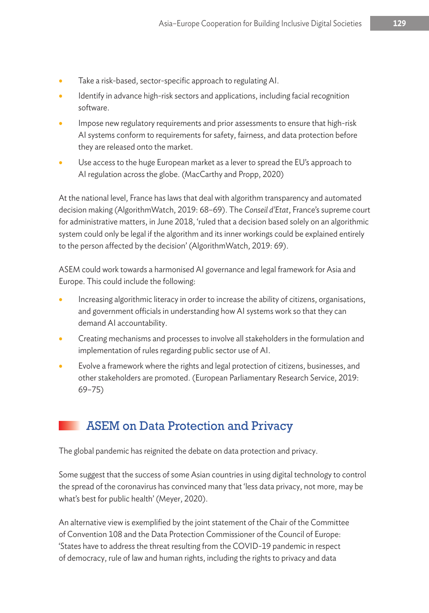- Take a risk-based, sector-specific approach to regulating AI.
- Identify in advance high-risk sectors and applications, including facial recognition software.
- Impose new regulatory requirements and prior assessments to ensure that high-risk AI systems conform to requirements for safety, fairness, and data protection before they are released onto the market.
- Use access to the huge European market as a lever to spread the EU's approach to AI regulation across the globe. (MacCarthy and Propp, 2020)

At the national level, France has laws that deal with algorithm transparency and automated decision making (AlgorithmWatch, 2019: 68–69). The *Conseil d'Etat*, France's supreme court for administrative matters, in June 2018, 'ruled that a decision based solely on an algorithmic system could only be legal if the algorithm and its inner workings could be explained entirely to the person affected by the decision' (AlgorithmWatch, 2019: 69).

ASEM could work towards a harmonised AI governance and legal framework for Asia and Europe. This could include the following:

- Increasing algorithmic literacy in order to increase the ability of citizens, organisations, and government officials in understanding how AI systems work so that they can demand AI accountability.
- Creating mechanisms and processes to involve all stakeholders in the formulation and implementation of rules regarding public sector use of AI.
- Evolve a framework where the rights and legal protection of citizens, businesses, and other stakeholders are promoted. (European Parliamentary Research Service, 2019: 69–75)

## ASEM on Data Protection and Privacy

The global pandemic has reignited the debate on data protection and privacy.

Some suggest that the success of some Asian countries in using digital technology to control the spread of the coronavirus has convinced many that 'less data privacy, not more, may be what's best for public health' (Meyer, 2020).

An alternative view is exemplified by the joint statement of the Chair of the Committee of Convention 108 and the Data Protection Commissioner of the Council of Europe: 'States have to address the threat resulting from the COVID-19 pandemic in respect of democracy, rule of law and human rights, including the rights to privacy and data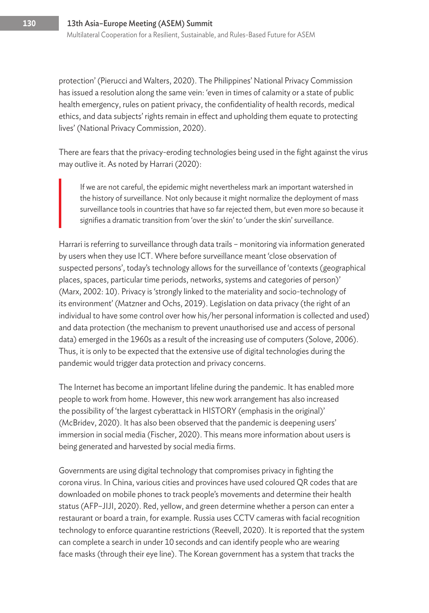protection' (Pierucci and Walters, 2020). The Philippines' National Privacy Commission has issued a resolution along the same vein: 'even in times of calamity or a state of public health emergency, rules on patient privacy, the confidentiality of health records, medical ethics, and data subjects' rights remain in effect and upholding them equate to protecting lives' (National Privacy Commission, 2020).

There are fears that the privacy-eroding technologies being used in the fight against the virus may outlive it. As noted by Harrari (2020):

If we are not careful, the epidemic might nevertheless mark an important watershed in the history of surveillance. Not only because it might normalize the deployment of mass surveillance tools in countries that have so far rejected them, but even more so because it signifies a dramatic transition from 'over the skin' to 'under the skin' surveillance.

Harrari is referring to surveillance through data trails – monitoring via information generated by users when they use ICT. Where before surveillance meant 'close observation of suspected persons', today's technology allows for the surveillance of 'contexts (geographical places, spaces, particular time periods, networks, systems and categories of person)' (Marx, 2002: 10). Privacy is 'strongly linked to the materiality and socio-technology of its environment' (Matzner and Ochs, 2019). Legislation on data privacy (the right of an individual to have some control over how his/her personal information is collected and used) and data protection (the mechanism to prevent unauthorised use and access of personal data) emerged in the 1960s as a result of the increasing use of computers (Solove, 2006). Thus, it is only to be expected that the extensive use of digital technologies during the pandemic would trigger data protection and privacy concerns.

The Internet has become an important lifeline during the pandemic. It has enabled more people to work from home. However, this new work arrangement has also increased the possibility of 'the largest cyberattack in HISTORY (emphasis in the original)' (McBridev, 2020). It has also been observed that the pandemic is deepening users' immersion in social media (Fischer, 2020). This means more information about users is being generated and harvested by social media firms.

Governments are using digital technology that compromises privacy in fighting the corona virus. In China, various cities and provinces have used coloured QR codes that are downloaded on mobile phones to track people's movements and determine their health status (AFP–JIJI, 2020). Red, yellow, and green determine whether a person can enter a restaurant or board a train, for example. Russia uses CCTV cameras with facial recognition technology to enforce quarantine restrictions (Reevell, 2020). It is reported that the system can complete a search in under 10 seconds and can identify people who are wearing face masks (through their eye line). The Korean government has a system that tracks the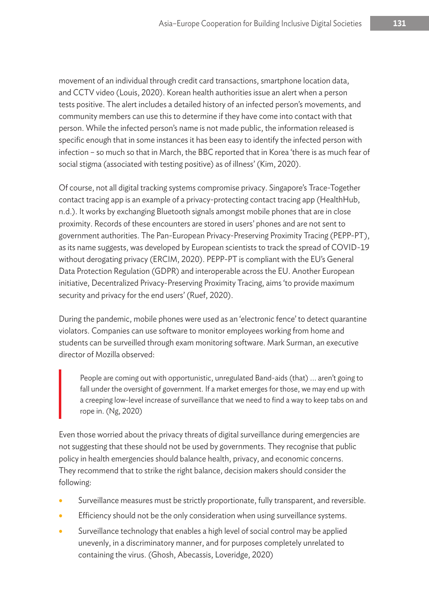movement of an individual through credit card transactions, smartphone location data, and CCTV video (Louis, 2020). Korean health authorities issue an alert when a person tests positive. The alert includes a detailed history of an infected person's movements, and community members can use this to determine if they have come into contact with that person. While the infected person's name is not made public, the information released is specific enough that in some instances it has been easy to identify the infected person with infection – so much so that in March, the BBC reported that in Korea 'there is as much fear of social stigma (associated with testing positive) as of illness' (Kim, 2020).

Of course, not all digital tracking systems compromise privacy. Singapore's Trace-Together contact tracing app is an example of a privacy-protecting contact tracing app (HealthHub, n.d.). It works by exchanging Bluetooth signals amongst mobile phones that are in close proximity. Records of these encounters are stored in users' phones and are not sent to government authorities. The Pan-European Privacy-Preserving Proximity Tracing (PEPP-PT), as its name suggests, was developed by European scientists to track the spread of COVID-19 without derogating privacy (ERCIM, 2020). PEPP-PT is compliant with the EU's General Data Protection Regulation (GDPR) and interoperable across the EU. Another European initiative, Decentralized Privacy-Preserving Proximity Tracing, aims 'to provide maximum security and privacy for the end users' (Ruef, 2020).

During the pandemic, mobile phones were used as an 'electronic fence' to detect quarantine violators. Companies can use software to monitor employees working from home and students can be surveilled through exam monitoring software. Mark Surman, an executive director of Mozilla observed:

People are coming out with opportunistic, unregulated Band-aids (that) ... aren't going to fall under the oversight of government. If a market emerges for those, we may end up with a creeping low-level increase of surveillance that we need to find a way to keep tabs on and rope in. (Ng, 2020)

Even those worried about the privacy threats of digital surveillance during emergencies are not suggesting that these should not be used by governments. They recognise that public policy in health emergencies should balance health, privacy, and economic concerns. They recommend that to strike the right balance, decision makers should consider the following:

- Surveillance measures must be strictly proportionate, fully transparent, and reversible.
- **•** Efficiency should not be the only consideration when using surveillance systems.
- Surveillance technology that enables a high level of social control may be applied unevenly, in a discriminatory manner, and for purposes completely unrelated to containing the virus. (Ghosh, Abecassis, Loveridge, 2020)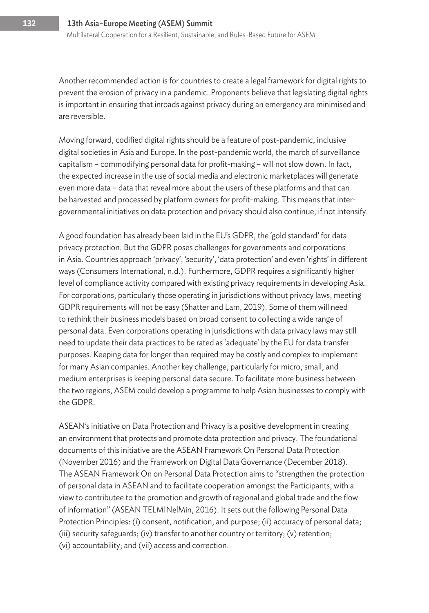Another recommended action is for countries to create a legal framework for digital rights to prevent the erosion of privacy in a pandemic. Proponents believe that legislating digital rights is important in ensuring that inroads against privacy during an emergency are minimised and are reversible.

Moving forward, codified digital rights should be a feature of post-pandemic, inclusive digital societies in Asia and Europe. In the post-pandemic world, the march of surveillance capitalism – commodifying personal data for profit-making – will not slow down. In fact, the expected increase in the use of social media and electronic marketplaces will generate even more data – data that reveal more about the users of these platforms and that can be harvested and processed by platform owners for profit-making. This means that intergovernmental initiatives on data protection and privacy should also continue, if not intensify.

A good foundation has already been laid in the EU's GDPR, the 'gold standard' for data privacy protection. But the GDPR poses challenges for governments and corporations in Asia. Countries approach 'privacy', 'security', 'data protection' and even 'rights' in different ways (Consumers International, n.d.). Furthermore, GDPR requires a significantly higher level of compliance activity compared with existing privacy requirements in developing Asia. For corporations, particularly those operating in jurisdictions without privacy laws, meeting GDPR requirements will not be easy (Shatter and Lam, 2019). Some of them will need to rethink their business models based on broad consent to collecting a wide range of personal data. Even corporations operating in jurisdictions with data privacy laws may still need to update their data practices to be rated as 'adequate' by the EU for data transfer purposes. Keeping data for longer than required may be costly and complex to implement for many Asian companies. Another key challenge, particularly for micro, small, and medium enterprises is keeping personal data secure. To facilitate more business between the two regions, ASEM could develop a programme to help Asian businesses to comply with the GDPR.

ASEAN's initiative on Data Protection and Privacy is a positive development in creating an environment that protects and promote data protection and privacy. The foundational documents of this initiative are the ASEAN Framework On Personal Data Protection (November 2016) and the Framework on Digital Data Governance (December 2018). The ASEAN Framework On on Personal Data Protection aims to ''strengthen the protection of personal data in ASEAN and to facilitate cooperation amongst the Participants, with a view to contributee to the promotion and growth of regional and global trade and the flow of information'' (ASEAN TELMINelMin, 2016). It sets out the following Personal Data Protection Principles: (i) consent, notification, and purpose; (ii) accuracy of personal data; (iii) security safeguards; (iv) transfer to another country or territory; (v) retention; (vi) accountability; and (vii) access and correction.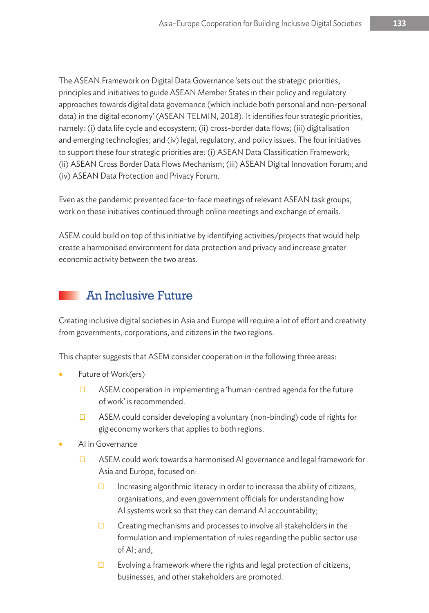The ASEAN Framework on Digital Data Governance 'sets out the strategic priorities, principles and initiatives to guide ASEAN Member States in their policy and regulatory approaches towards digital data governance (which include both personal and non-personal data) in the digital economy' (ASEAN TELMIN, 2018). It identifies four strategic priorities, namely: (i) data life cycle and ecosystem; (ii) cross-border data flows; (iii) digitalisation and emerging technologies; and (iv) legal, regulatory, and policy issues. The four initiatives to support these four strategic priorities are: (i) ASEAN Data Classification Framework; (ii) ASEAN Cross Border Data Flows Mechanism; (iii) ASEAN Digital Innovation Forum; and (iv) ASEAN Data Protection and Privacy Forum.

Even as the pandemic prevented face-to-face meetings of relevant ASEAN task groups, work on these initiatives continued through online meetings and exchange of emails.

ASEM could build on top of this initiative by identifying activities/projects that would help create a harmonised environment for data protection and privacy and increase greater economic activity between the two areas.

## An Inclusive Future

Creating inclusive digital societies in Asia and Europe will require a lot of effort and creativity from governments, corporations, and citizens in the two regions.

This chapter suggests that ASEM consider cooperation in the following three areas:

- Future of Work(ers)
	- $\Box$  ASEM cooperation in implementing a 'human-centred agenda for the future of work' is recommended.
	- $\Box$  ASEM could consider developing a voluntary (non-binding) code of rights for gig economy workers that applies to both regions.
- AI in Governance
	- $\Box$  ASEM could work towards a harmonised AI governance and legal framework for Asia and Europe, focused on:
		- $\Box$  Increasing algorithmic literacy in order to increase the ability of citizens, organisations, and even government officials for understanding how AI systems work so that they can demand AI accountability;
		- $\square$  Creating mechanisms and processes to involve all stakeholders in the formulation and implementation of rules regarding the public sector use of AI; and,
		- $\square$  Evolving a framework where the rights and legal protection of citizens, businesses, and other stakeholders are promoted.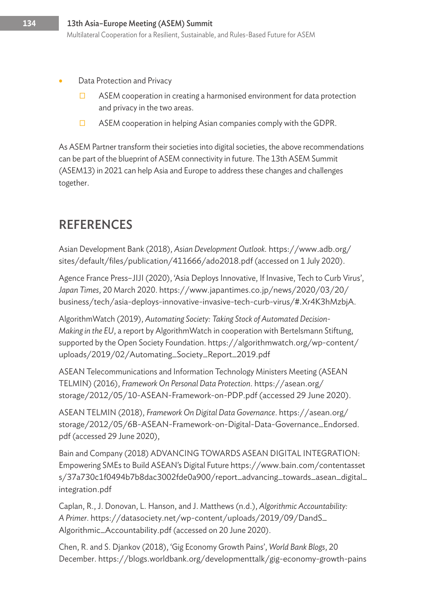- Data Protection and Privacy
	- $\Box$  ASEM cooperation in creating a harmonised environment for data protection and privacy in the two areas.
	- $\square$  ASEM cooperation in helping Asian companies comply with the GDPR.

As ASEM Partner transform their societies into digital societies, the above recommendations can be part of the blueprint of ASEM connectivity in future. The 13th ASEM Summit (ASEM13) in 2021 can help Asia and Europe to address these changes and challenges together.

## **REFERENCES**

Asian Development Bank (2018), *Asian Development Outlook.* https://www.adb.org/ sites/default/files/publication/411666/ado2018.pdf (accessed on 1 July 2020).

Agence France Press–JIJI (2020), 'Asia Deploys Innovative, If Invasive, Tech to Curb Virus', *Japan Times*, 20 March 2020. https://www.japantimes.co.jp/news/2020/03/20/ business/tech/asia-deploys-innovative-invasive-tech-curb-virus/#.Xr4K3hMzbjA.

AlgorithmWatch (2019), *Automating Society: Taking Stock of Automated Decision-Making in the EU*, a report by AlgorithmWatch in cooperation with Bertelsmann Stiftung, supported by the Open Society Foundation. https://algorithmwatch.org/wp-content/ uploads/2019/02/Automating\_Society\_Report\_2019.pdf

ASEAN Telecommunications and Information Technology Ministers Meeting (ASEAN TELMIN) (2016), *Framework On Personal Data Protection*. https://asean.org/ storage/2012/05/10-ASEAN-Framework-on-PDP.pdf (accessed 29 June 2020).

ASEAN TELMIN (2018), *Framework On Digital Data Governance*. https://asean.org/ storage/2012/05/6B-ASEAN-Framework-on-Digital-Data-Governance\_Endorsed. pdf (accessed 29 June 2020),

Bain and Company (2018) ADVANCING TOWARDS ASEAN DIGITAL INTEGRATION: Empowering SMEs to Build ASEAN's Digital Future https://www.bain.com/contentasset s/37a730c1f0494b7b8dac3002fde0a900/report\_advancing\_towards\_asean\_digital\_ integration.pdf

Caplan, R., J. Donovan, L. Hanson, and J. Matthews (n.d.), *Algorithmic Accountability: A Primer*. https://datasociety.net/wp-content/uploads/2019/09/DandS\_ Algorithmic\_Accountability.pdf (accessed on 20 June 2020).

Chen, R. and S. Djankov (2018), 'Gig Economy Growth Pains', *World Bank Blogs*, 20 December. https://blogs.worldbank.org/developmenttalk/gig-economy-growth-pains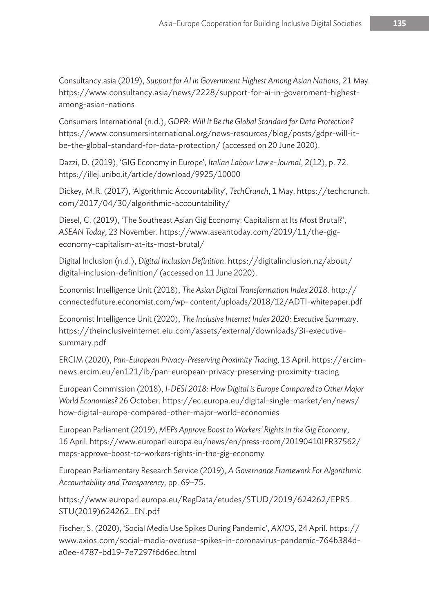Consultancy.asia (2019), *Support for AI in Government Highest Among Asian Nations*, 21 May. https://www.consultancy.asia/news/2228/support-for-ai-in-government-highestamong-asian-nations

Consumers International (n.d.), *GDPR: Will It Be the Global Standard for Data Protection?* https://www.consumersinternational.org/news-resources/blog/posts/gdpr-will-itbe-the-global-standard-for-data-protection/ (accessed on 20 June 2020).

Dazzi, D. (2019), 'GIG Economy in Europe', *Italian Labour Law e-Journal*, 2(12), p. 72. https://illej.unibo.it/article/download/9925/10000

Dickey, M.R. (2017), 'Algorithmic Accountability', *TechCrunch*, 1 May. https://techcrunch. com/2017/04/30/algorithmic-accountability/

Diesel, C. (2019), 'The Southeast Asian Gig Economy: Capitalism at Its Most Brutal?', *ASEAN Today*, 23 November. https://www.aseantoday.com/2019/11/the-gigeconomy-capitalism-at-its-most-brutal/

Digital Inclusion (n.d.), *Digital Inclusion Definition*. https://digitalinclusion.nz/about/ digital-inclusion-definition/ (accessed on 11 June 2020).

Economist Intelligence Unit (2018), *The Asian Digital Transformation Index 2018.* http:// connectedfuture.economist.com/wp- content/uploads/2018/12/ADTI-whitepaper.pdf

Economist Intelligence Unit (2020), *The Inclusive Internet Index 2020: Executive Summary*. https://theinclusiveinternet.eiu.com/assets/external/downloads/3i-executivesummary.pdf

ERCIM (2020), *Pan-European Privacy-Preserving Proximity Tracing*, 13 April. https://ercimnews.ercim.eu/en121/ib/pan-european-privacy-preserving-proximity-tracing

European Commission (2018), *I-DESI 2018: How Digital is Europe Compared to Other Major World Economies?* 26 October. https://ec.europa.eu/digital-single-market/en/news/ how-digital-europe-compared-other-major-world-economies

European Parliament (2019), *MEPs Approve Boost to Workers' Rights in the Gig Economy*, 16 April. https://www.europarl.europa.eu/news/en/press-room/20190410IPR37562/ meps-approve-boost-to-workers-rights-in-the-gig-economy

European Parliamentary Research Service (2019), *A Governance Framework For Algorithmic Accountability and Transparency,* pp. 69–75.

https://www.europarl.europa.eu/RegData/etudes/STUD/2019/624262/EPRS\_ STU(2019)624262\_EN.pdf

Fischer, S. (2020), 'Social Media Use Spikes During Pandemic', *AXIOS*, 24 April. https:// www.axios.com/social-media-overuse-spikes-in-coronavirus-pandemic-764b384da0ee-4787-bd19-7e7297f6d6ec.html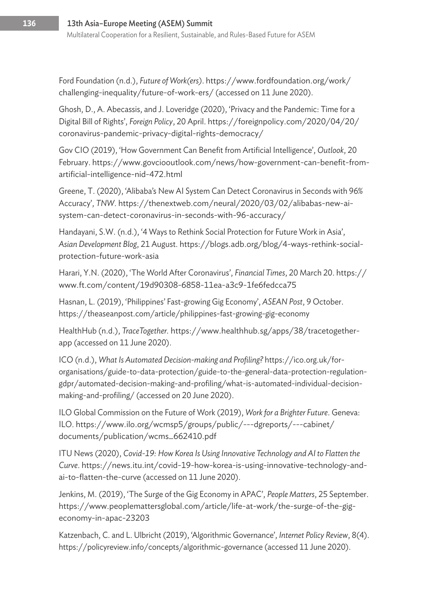Ford Foundation (n.d.), *Future of Work(ers)*. https://www.fordfoundation.org/work/ challenging-inequality/future-of-work-ers/ (accessed on 11 June 2020).

Ghosh, D., A. Abecassis, and J. Loveridge (2020), 'Privacy and the Pandemic: Time for a Digital Bill of Rights', *Foreign Policy*, 20 April. https://foreignpolicy.com/2020/04/20/ coronavirus-pandemic-privacy-digital-rights-democracy/

Gov CIO (2019), 'How Government Can Benefit from Artificial Intelligence', *Outlook*, 20 February. https://www.govciooutlook.com/news/how-government-can-benefit-fromartificial-intelligence-nid-472.html

Greene, T. (2020), 'Alibaba's New AI System Can Detect Coronavirus in Seconds with 96% Accuracy', *TNW*. https://thenextweb.com/neural/2020/03/02/alibabas-new-aisystem-can-detect-coronavirus-in-seconds-with-96-accuracy/

Handayani, S.W. (n.d.), '4 Ways to Rethink Social Protection for Future Work in Asia', *Asian Development Blog*, 21 August. https://blogs.adb.org/blog/4-ways-rethink-socialprotection-future-work-asia

Harari, Y.N. (2020), 'The World After Coronavirus', *Financial Times*, 20 March 20. https:// www.ft.com/content/19d90308-6858-11ea-a3c9-1fe6fedcca75

Hasnan, L. (2019), 'Philippines' Fast-growing Gig Economy', *ASEAN Post*, 9 October. https://theaseanpost.com/article/philippines-fast-growing-gig-economy

HealthHub (n.d.), *TraceTogether.* https://www.healthhub.sg/apps/38/tracetogetherapp (accessed on 11 June 2020).

ICO (n.d.), *What Is Automated Decision-making and Profiling?* https://ico.org.uk/fororganisations/guide-to-data-protection/guide-to-the-general-data-protection-regulationgdpr/automated-decision-making-and-profiling/what-is-automated-individual-decisionmaking-and-profiling/ (accessed on 20 June 2020).

ILO Global Commission on the Future of Work (2019), *Work for a Brighter Future*. Geneva: ILO. https://www.ilo.org/wcmsp5/groups/public/---dgreports/---cabinet/ documents/publication/wcms\_662410.pdf

ITU News (2020), *Covid-19: How Korea Is Using Innovative Technology and AI to Flatten the Curve*. https://news.itu.int/covid-19-how-korea-is-using-innovative-technology-andai-to-flatten-the-curve (accessed on 11 June 2020).

Jenkins, M. (2019), 'The Surge of the Gig Economy in APAC', *People Matters*, 25 September. https://www.peoplemattersglobal.com/article/life-at-work/the-surge-of-the-gigeconomy-in-apac-23203

Katzenbach, C. and L. Ulbricht (2019), 'Algorithmic Governance', *Internet Policy Review*, 8(4). https://policyreview.info/concepts/algorithmic-governance (accessed 11 June 2020).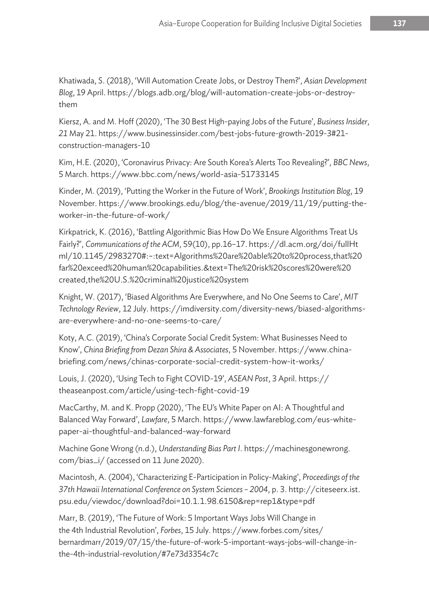Khatiwada, S. (2018), 'Will Automation Create Jobs, or Destroy Them?', *Asian Development Blog*, 19 April. https://blogs.adb.org/blog/will-automation-create-jobs-or-destroythem

Kiersz, A. and M. Hoff (2020), 'The 30 Best High-paying Jobs of the Future', *Business Insider*, *21* May 21. https://www.businessinsider.com/best-jobs-future-growth-2019-3#21 construction-managers-10

Kim, H.E. (2020), 'Coronavirus Privacy: Are South Korea's Alerts Too Revealing?', *BBC News*, 5 March. https://www.bbc.com/news/world-asia-51733145

Kinder, M. (2019), 'Putting the Worker in the Future of Work', *Brookings Institution Blog*, 19 November. https://www.brookings.edu/blog/the-avenue/2019/11/19/putting-theworker-in-the-future-of-work/

Kirkpatrick, K. (2016), 'Battling Algorithmic Bias How Do We Ensure Algorithms Treat Us Fairly?', *Communications of the ACM*, 59(10), pp.16–17. https://dl.acm.org/doi/fullHt ml/10.1145/2983270#:~:text=Algorithms%20are%20able%20to%20process,that%20 far%20exceed%20human%20capabilities.&text=The%20risk%20scores%20were%20 created,the%20U.S.%20criminal%20justice%20system

Knight, W. (2017), 'Biased Algorithms Are Everywhere, and No One Seems to Care', *MIT Technology Review*, 12 July. https://imdiversity.com/diversity-news/biased-algorithmsare-everywhere-and-no-one-seems-to-care/

Koty, A.C. (2019), 'China's Corporate Social Credit System: What Businesses Need to Know', *China Briefing from Dezan Shira & Associates*, 5 November. https://www.chinabriefing.com/news/chinas-corporate-social-credit-system-how-it-works/

Louis, J. (2020), 'Using Tech to Fight COVID-19', *ASEAN Post*, 3 April. https:// theaseanpost.com/article/using-tech-fight-covid-19

MacCarthy, M. and K. Propp (2020), 'The EU's White Paper on AI: A Thoughtful and Balanced Way Forward', *Lawfare*, 5 March. https://www.lawfareblog.com/eus-whitepaper-ai-thoughtful-and-balanced-way-forward

Machine Gone Wrong (n.d.), *Understanding Bias Part I*. https://machinesgonewrong. com/bias\_i/ (accessed on 11 June 2020).

Macintosh, A. (2004), 'Characterizing E-Participation in Policy-Making', *Proceedings of the 37th Hawaii International Conference on System Sciences – 2004*, p. 3. http://citeseerx.ist. psu.edu/viewdoc/download?doi=10.1.1.98.6150&rep=rep1&type=pdf

Marr, B. (2019), 'The Future of Work: 5 Important Ways Jobs Will Change in the 4th Industrial Revolution', *Forbes*, 15 July. https://www.forbes.com/sites/ bernardmarr/2019/07/15/the-future-of-work-5-important-ways-jobs-will-change-inthe-4th-industrial-revolution/#7e73d3354c7c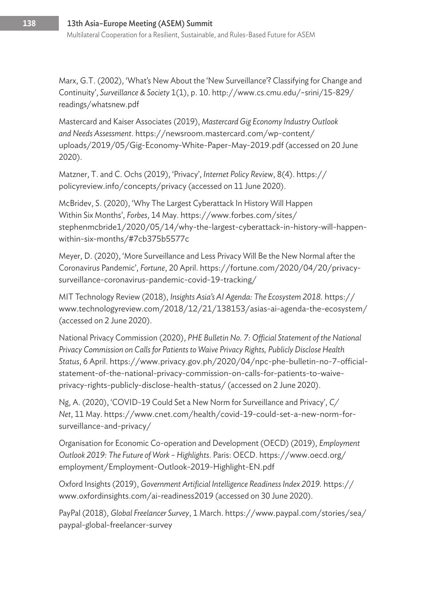Marx, G.T. (2002), 'What's New About the 'New Surveillance'? Classifying for Change and Continuity', *Surveillance & Society* 1(1), p. 10. http://www.cs.cmu.edu/~srini/15-829/ readings/whatsnew.pdf

Mastercard and Kaiser Associates (2019), *Mastercard Gig Economy Industry Outlook and Needs Assessment*. https://newsroom.mastercard.com/wp-content/ uploads/2019/05/Gig-Economy-White-Paper-May-2019.pdf (accessed on 20 June 2020).

Matzner, T. and C. Ochs (2019), 'Privacy', *Internet Policy Review*, 8(4). https:// policyreview.info/concepts/privacy (accessed on 11 June 2020).

McBridev, S. (2020), 'Why The Largest Cyberattack In History Will Happen Within Six Months', *Forbes*, 14 May. https://www.forbes.com/sites/ stephenmcbride1/2020/05/14/why-the-largest-cyberattack-in-history-will-happenwithin-six-months/#7cb375b5577c

Meyer, D. (2020), 'More Surveillance and Less Privacy Will Be the New Normal after the Coronavirus Pandemic', *Fortune*, 20 April. https://fortune.com/2020/04/20/privacysurveillance-coronavirus-pandemic-covid-19-tracking/

MIT Technology Review (2018), *Insights Asia's AI Agenda: The Ecosystem 2018.* https:// www.technologyreview.com/2018/12/21/138153/asias-ai-agenda-the-ecosystem/ (accessed on 2 June 2020).

National Privacy Commission (2020), *PHE Bulletin No. 7: Official Statement of the National Privacy Commission on Calls for Patients to Waive Privacy Rights, Publicly Disclose Health Status*, 6 April. https://www.privacy.gov.ph/2020/04/npc-phe-bulletin-no-7-officialstatement-of-the-national-privacy-commission-on-calls-for-patients-to-waiveprivacy-rights-publicly-disclose-health-status/ (accessed on 2 June 2020).

Ng, A. (2020), 'COVID-19 Could Set a New Norm for Surveillance and Privacy', *C/ Net*, 11 May. https://www.cnet.com/health/covid-19-could-set-a-new-norm-forsurveillance-and-privacy/

Organisation for Economic Co-operation and Development (OECD) (2019), *Employment Outlook 2019: The Future of Work – Highlights*. Paris: OECD. https://www.oecd.org/ employment/Employment-Outlook-2019-Highlight-EN.pdf

Oxford Insights (2019), *Government Artificial Intelligence Readiness Index 2019.* https:// www.oxfordinsights.com/ai-readiness2019 (accessed on 30 June 2020).

PayPal (2018), *Global Freelancer Survey*, 1 March. https://www.paypal.com/stories/sea/ paypal-global-freelancer-survey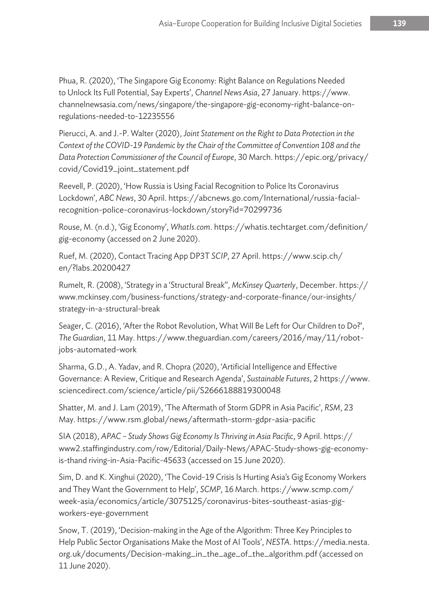Phua, R. (2020), 'The Singapore Gig Economy: Right Balance on Regulations Needed to Unlock Its Full Potential, Say Experts', *Channel News Asia*, 27 January. https://www. channelnewsasia.com/news/singapore/the-singapore-gig-economy-right-balance-onregulations-needed-to-12235556

Pierucci, A. and J.-P. Walter (2020), *Joint Statement on the Right to Data Protection in the Context of the COVID-19 Pandemic by the Chair of the Committee of Convention 108 and the Data Protection Commissioner of the Council of Europe*, 30 March. https://epic.org/privacy/ covid/Covid19\_joint\_statement.pdf

Reevell, P. (2020), 'How Russia is Using Facial Recognition to Police Its Coronavirus Lockdown', *ABC News*, 30 April. https://abcnews.go.com/International/russia-facialrecognition-police-coronavirus-lockdown/story?id=70299736

Rouse, M. (n.d.), 'Gig Economy', *WhatIs.com*. https://whatis.techtarget.com/definition/ gig-economy (accessed on 2 June 2020).

Ruef, M. (2020), Contact Tracing App DP3T *SCIP*, 27 April. https://www.scip.ch/ en/?labs.20200427

Rumelt, R. (2008), 'Strategy in a 'Structural Break'', *McKinsey Quarterly*, December. https:// www.mckinsey.com/business-functions/strategy-and-corporate-finance/our-insights/ strategy-in-a-structural-break

Seager, C. (2016), 'After the Robot Revolution, What Will Be Left for Our Children to Do?', *The Guardian*, 11 May. https://www.theguardian.com/careers/2016/may/11/robotjobs-automated-work

Sharma, G.D., A. Yadav, and R. Chopra (2020), 'Artificial Intelligence and Effective Governance: A Review, Critique and Research Agenda', *Sustainable Futures*, 2 https://www. sciencedirect.com/science/article/pii/S2666188819300048

Shatter, M. and J. Lam (2019), 'The Aftermath of Storm GDPR in Asia Pacific', *RSM*, 23 May. https://www.rsm.global/news/aftermath-storm-gdpr-asia-pacific

SIA (2018), *APAC – Study Shows Gig Economy Is Thriving in Asia Pacific*, 9 April. https:// www2.staffingindustry.com/row/Editorial/Daily-News/APAC-Study-shows-gig-economyis-thand riving-in-Asia-Pacific-45633 (accessed on 15 June 2020).

Sim, D. and K. Xinghui (2020), 'The Covid-19 Crisis Is Hurting Asia's Gig Economy Workers and They Want the Government to Help', *SCMP*, 16 March. https://www.scmp.com/ week-asia/economics/article/3075125/coronavirus-bites-southeast-asias-gigworkers-eye-government

Snow, T. (2019), 'Decision-making in the Age of the Algorithm: Three Key Principles to Help Public Sector Organisations Make the Most of AI Tools', *NESTA*. https://media.nesta. org.uk/documents/Decision-making\_in\_the\_age\_of\_the\_algorithm.pdf (accessed on 11 June 2020).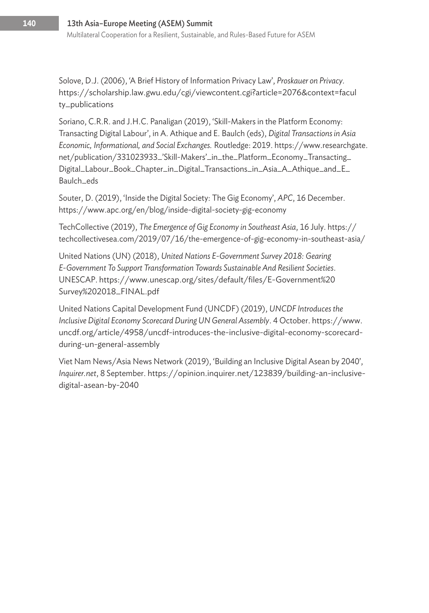Solove, D.J. (2006), 'A Brief History of Information Privacy Law', *Proskauer on Privacy.* https://scholarship.law.gwu.edu/cgi/viewcontent.cgi?article=2076&context=facul ty\_publications

Soriano, C.R.R. and J.H.C. Panaligan (2019), 'Skill-Makers in the Platform Economy: Transacting Digital Labour', in A. Athique and E. Baulch (eds), *Digital Transactions in Asia Economic, Informational, and Social Exchanges.* Routledge: 2019. https://www.researchgate. net/publication/331023933\_'Skill-Makers'\_in\_the\_Platform\_Economy\_Transacting\_ Digital\_Labour\_Book\_Chapter\_in\_Digital\_Transactions\_in\_Asia\_A\_Athique\_and\_E\_ Baulch\_eds

Souter, D. (2019), 'Inside the Digital Society: The Gig Economy', *APC*, 16 December. https://www.apc.org/en/blog/inside-digital-society-gig-economy

TechCollective (2019), *The Emergence of Gig Economy in Southeast Asia*, 16 July. https:// techcollectivesea.com/2019/07/16/the-emergence-of-gig-economy-in-southeast-asia/

United Nations (UN) (2018), *United Nations E-Government Survey 2018: Gearing E-Government To Support Transformation Towards Sustainable And Resilient Societies*. UNESCAP. https://www.unescap.org/sites/default/files/E-Government%20 Survey%202018\_FINAL.pdf

United Nations Capital Development Fund (UNCDF) (2019), *UNCDF Introduces the Inclusive Digital Economy Scorecard During UN General Assembly*. 4 October. https://www. uncdf.org/article/4958/uncdf-introduces-the-inclusive-digital-economy-scorecardduring-un-general-assembly

Viet Nam News/Asia News Network (2019), 'Building an Inclusive Digital Asean by 2040', *Inquirer.net*, 8 September. https://opinion.inquirer.net/123839/building-an-inclusivedigital-asean-by-2040